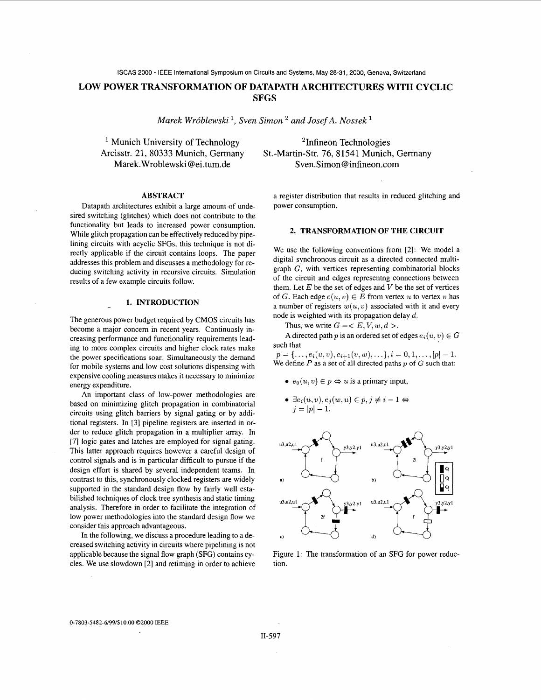**LOW POWER TRANSFORMATION OF DATAPATH ARCHITECTURES WITH CYCLIC SFGS** 

*Marek Wróblewski*<sup>1</sup>, *Sven Simon*<sup>2</sup> and *Josef A. Nossek*<sup>1</sup>

<sup>1</sup> Munich University of Technology Arcisstr. 21, 80333 Munich, Germany Marek. Wroblewski [@ei.tum.de](mailto:ei.tum.de)

'Infineon Technologies St.-Martin-Str. 76, 81541 Munich, Germany Sven.Simon@ [infineon.com](http://infineon.com)

# **ABSTRACT**

Datapath architectures exhibit a large amount of undesired switching (glitches) which does not contribute to the functionality but leads to increased power consumption. While glitch propagation can be effectively reduced by pipelining circuits with acyclic SFGs, this technique is not directly applicable if the circuit contains loops. The paper addresses this problem and discusses a methodology for reducing switching activity in recursive circuits. Simulation results of a few example circuits follow.

## **1. INTRODUCTION**

The generous power budget required by CMOS circuits has become a major concern in recent years. Continuosly increasing performance and functionality requirements leading to more complex circuits and higher clock rates make the power specifications soar. Simultaneously the demand for mobile systems and low cost solutions dispensing with expensive cooling measures makes it necessary to minimize energy expenditure.

An important class of low-power methodologies are based on minimizing glitch propagation in combinatorial circuits using glitch barriers by signal gating or by additional registers. In *[3]* pipeline registers are inserted in order to reduce glitch propagation in a multiplier array. In [7] logic gates and latches are employed for signal gating. This latter approach requires however a careful design of control signals and is in particular difficult to pursue if the design effort is shared by several independent teams. In contrast to this, synchronously clocked registers are widely supported in the standard design flow by fairly well estabilished techniques of clock tree synthesis and static timing analysis. Therefore in order to facilitate the integration of low power methodologies into the standard design flow we consider this approach advantageous.

In the following, we discuss a procedure leading to a decreased switching activity in circuits where pipelining is not applicable because the signal flow graph (SFG) contains cycles. We use slowdown *[2]* and retiming in order to achieve

a register distribution that results in reduced glitching and power consumption.

### **2. TRANSFORMATION OF THE CIRCUIT**

We use the following conventions from *[2]:* We model a digital synchronous circuit as a directed connected multigraph G, with vertices representing combinatorial blocks of the circuit and edges representng connections between them. Let  $E$  be the set of edges and  $V$  be the set of vertices of G. Each edge  $e(u, v) \in E$  from vertex *u* to vertex *v* has a number of registers  $w(u, v)$  associated with it and every node is weighted with its propagation delay *d.* 

Thus, we write  $G = \langle E, V, w, d \rangle$ .

A directed path *p* is an ordered set of edges  $e_i(u, v) \in G$ such that

 $p = \{ \ldots, e_i(u,v), e_{i+1}(v,w), \ldots \}, i = 0, 1, \ldots, |p| - 1.$ We define *P* as a set of all directed paths *p* of G such that:

- $e_0(u, v) \in p \Leftrightarrow u$  is a primary input,
- $\bullet \ \exists e_i(u,v), e_j(w,u) \in p, j \neq i-1 \Leftrightarrow$  $j = |p| - 1.$



Figure 1: The transformation of an SFG for power reduction.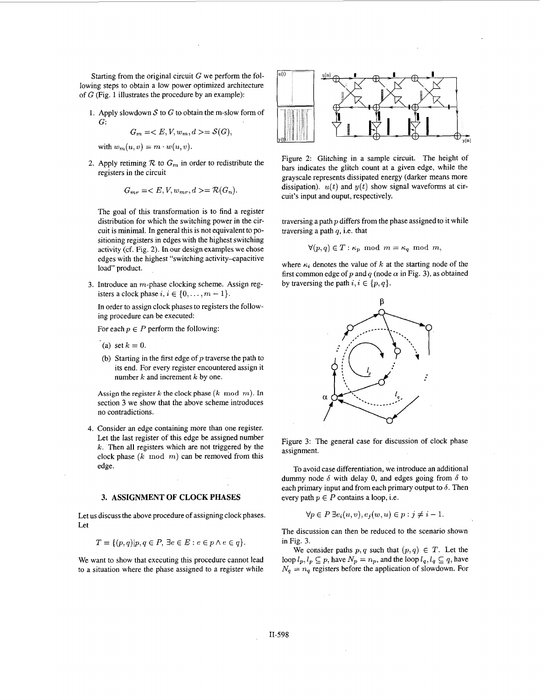Starting from the original circuit  $G$  we perform the following steps to obtain a low power optimized architecture of G (Fig. 1 illustrates the procedure by an example):

1. Apply slowdown  $S$  to  $G$  to obtain the m-slow form of G:

$$
G_m = \langle E, V, w_m, d \rangle = \mathcal{S}(G),
$$

with  $w_m(u, v) = m \cdot w(u, v)$ .

2. Apply retiming  $R$  to  $G_m$  in order to redistribute the registers in the circuit

$$
G_{mr} =  = \mathcal{R}(G_n).
$$

The goal of this transformation is to find a register distribution for which the switching power in the circuit is minimal. In general this is not equivalent to positioning registers in edges with the highest switching activity (cf. Fig. *2).* In our design examples we chose edges with the highest "switching activity-capacitive load" product.

*3.*  Introduce an m-phase clocking scheme. Assign registers a clock phase  $i, i \in \{0, \ldots, m-1\}.$ 

In order to assign clock phases to registers the following procedure can be executed:

For each  $p \in P$  perform the following:

- (a) set  $k = 0$ .
- (b) Starting in the first edge of *p* traverse the path to its end. For every register encountered assign it number  $k$  and increment  $k$  by one.

Assign the register  $k$  the clock phase  $(k \mod m)$ . In section 3 we show that the above scheme introduces no contradictions.

**4.**  Consider an edge containing more than one register. Let the last register of this edge be assigned number *k*. Then all registers which are not triggered by the clock phase  $(k \mod m)$  can be removed from this edge.

### **3. ASSIGNMENT OF CLOCK PHASES**

Let **us** discuss the above procedure of assigning clock phases. Let

$$
T = \{(p,q)| p,q \in P, \exists e \in E : e \in p \land e \in q\}.
$$

We want to show that executing this procedure cannot lead to a situation where the phase assigned to a register while



Figure *2:* Glitching in a sample circuit. The height of bars indicates the glitch count at a given edge, while the grayscale represents dissipated energy (darker means more dissipation).  $u(t)$  and  $y(t)$  show signal waveforms at circuit's input and ouput, respectively.

traversing a path  $p$  differs from the phase assigned to it while traversing a path *q,* i.e. that

$$
\forall (p,q) \in T : \kappa_p \text{ mod } m = \kappa_q \text{ mod } m,
$$

where  $\kappa_i$  denotes the value of k at the starting node of the first common edge of p and q (node  $\alpha$  in Fig. 3), as obtained by traversing the path  $i, i \in \{p, q\}.$ 



Figure *3:* The general case for discussion of clock phase assignment.

To avoid case differentiation, we introduce an additional dummy node  $\delta$  with delay 0, and edges going from  $\delta$  to each primary input and from each primary output to  $\delta$ . Then every path  $p \in P$  contains a loop, i.e.

$$
\forall p \in P \exists e_i(u, v), e_j(w, u) \in p : j \neq i - 1.
$$

The discussion can then be reduced to the scenario shown inFig. *3.* 

We consider paths  $p, q$  such that  $(p, q) \in T$ . Let the loop  $l_p, l_p \subseteq p$ , have  $N_p = n_p$ , and the loop  $l_q, l_q \subseteq q$ , have  $N_q = n_q$  registers before the application of slowdown. For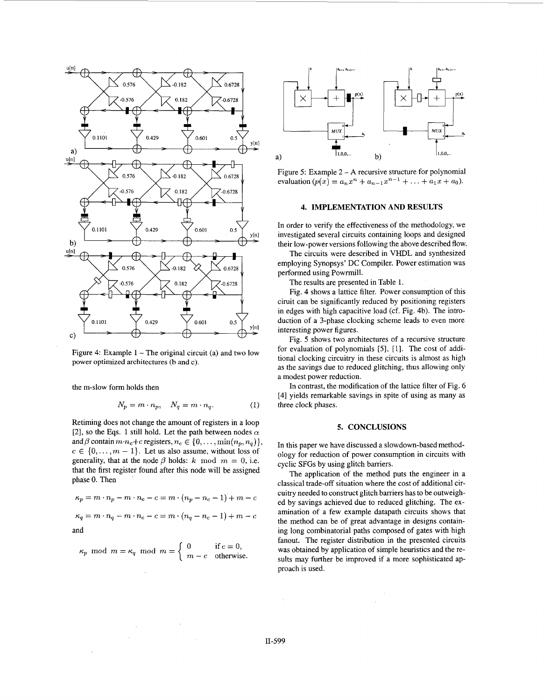

Figure 4: Example  $1 -$  The original circuit (a) and two low power optimized architectures (b and *c).* 

the m-slow form holds then

$$
N_p = m \cdot n_p, \quad N_q = m \cdot n_q. \tag{1}
$$

Retiming does not change the amount of registers in a loop [2], so the Eqs. 1 still hold. Let the path between nodes  $\alpha$ and  $\beta$  contain  $m \cdot n_c + c$  registers,  $n_c \in \{0, \ldots, \min(n_p, n_q)\},$  $c \in \{0, \ldots, m-1\}$ . Let us also assume, without loss of generality, that at the node  $\beta$  holds: *k* mod  $m = 0$ , i.e. that the first register found after this node will be assigned phase 0. Then

$$
\kappa_p = m \cdot n_p - m \cdot n_c - c = m \cdot (n_p - n_c - 1) + m - c
$$
  

$$
\kappa_q = m \cdot n_q - m \cdot n_c - c = m \cdot (n_q - n_c - 1) + m - c
$$
  
and

$$
\kappa_p\hspace{-3pt}\mod m=\kappa_q\hspace{-3pt}\mod m=\left\{\begin{array}{ll}0&\text{if }c=0,\\m-c&\text{otherwise.}\end{array}\right.
$$

 $\bar{z}$ 

 $\bar{\lambda}$ 

 $\sim$ 



Figure 5: Example 2 - **A** recursive structure for polynomial evaluation  $(p(x) = a_n x^n + a_{n-1} x^{n-1} + \ldots + a_1 x + a_0)$ .

## **4. IMPLEMENTATION AND RESULTS**

In order to verify the effectiveness of the methodology, we investigated several circuits containing loops and designed their low-power versions following the above described flow.

The circuits were described in VHDL and synthesized employing Synopsys' DC Compiler. Power estimation was performed using Powrmill.

The results are presented in Table 1.

Fig. 4 shows a lattice filter. Power consumption of this ciruit can be significantly reduced by positioning registers in edges with high capacitive load (cf. Fig. 4b). The introduction of a 3-phase clocking scheme leads to even more interesting power figures.

Fig. 5 shows two architectures of a recursive structure for evaluation of polynomials [5], [l]. The cost of additional clocking circuitry in these circuits is almost as high as the savings due to reduced glitching, thus allowing only a modest power reduction.

In contrast, the modification of the lattice filter of Fig. 6 [4] yields remarkable savings in spite of using as many as three clock phases.

#### **5. CONCLUSIONS**

In this paper we have discussed a slowdown-based methodology for reduction of power consumption in circuits with cyclic SFGs by using glitch barriers.

The application of the method puts the engineer in a classical trade-off situation where the cost of additional circuitry needed to construct glitch barriers has to be outweighed by savings achieved due to reduced glitching. The examination of a few example datapath circuits shows that the method can be of great advantage in designs containing long combinatorial paths composed of gates with high fanout. The register distribution in the presented circuits was obtained by application of simple heuristics and the results may further be improved if a more sophisticated approach is used.